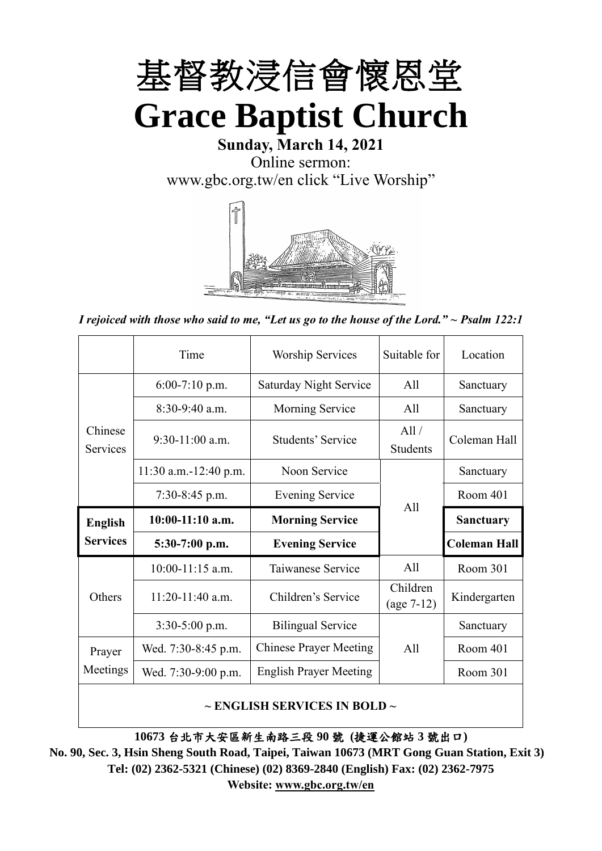

**Sunday, March 14, 2021** Online sermon: [www.gbc.org.tw/en](http://www.gbc.org.tw/en) click "Live Worship"



*I rejoiced with those who said to me, "Let us go to the house of the Lord." ~ Psalm 122:1*

|                            | Time                  | <b>Worship Services</b>       | Suitable for             | Location            |
|----------------------------|-----------------------|-------------------------------|--------------------------|---------------------|
|                            | $6:00-7:10$ p.m.      | <b>Saturday Night Service</b> | All                      | Sanctuary           |
|                            | $8:30-9:40$ a.m.      | Morning Service               | All                      | Sanctuary           |
| Chinese<br><b>Services</b> | $9:30-11:00$ a.m.     | Students' Service             | All /<br><b>Students</b> | Coleman Hall        |
|                            | 11:30 a.m.-12:40 p.m. | Noon Service                  |                          | Sanctuary           |
|                            | $7:30-8:45$ p.m.      | <b>Evening Service</b>        | All                      | Room 401            |
|                            |                       |                               |                          |                     |
| <b>English</b>             | $10:00-11:10$ a.m.    | <b>Morning Service</b>        |                          | <b>Sanctuary</b>    |
| <b>Services</b>            | $5:30-7:00$ p.m.      | <b>Evening Service</b>        |                          | <b>Coleman Hall</b> |
|                            | $10:00-11:15$ a.m.    | Taiwanese Service             | All                      | Room 301            |
| Others                     | $11:20-11:40$ a.m.    | Children's Service            | Children<br>$(age 7-12)$ | Kindergarten        |
|                            | $3:30-5:00$ p.m.      | <b>Bilingual Service</b>      |                          | Sanctuary           |
| Prayer                     | Wed. 7:30-8:45 p.m.   | <b>Chinese Prayer Meeting</b> | A11                      | Room 401            |
| Meetings                   | Wed. 7:30-9:00 p.m.   | <b>English Prayer Meeting</b> |                          | Room 301            |

#### **~ ENGLISH SERVICES IN BOLD ~**

**10673** 台北市大安區新生南路三段 **90** 號 **(**捷運公館站 **3** 號出口**)**

**No. 90, Sec. 3, Hsin Sheng South Road, Taipei, Taiwan 10673 (MRT Gong Guan Station, Exit 3) Tel: (02) 2362-5321 (Chinese) (02) 8369-2840 (English) Fax: (02) 2362-7975 Website: [www.gbc.org.tw/en](http://www.gbc.org.tw/en)**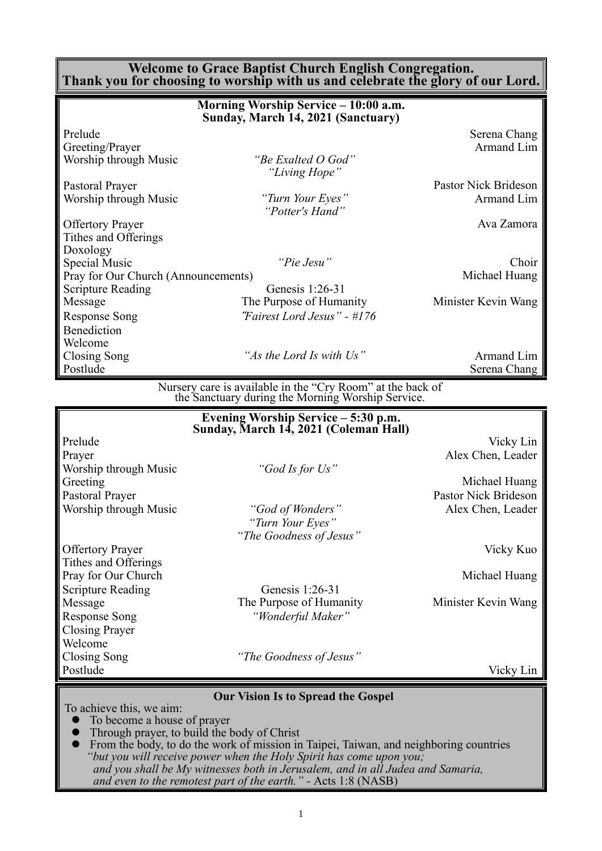#### **Welcome to Grace Baptist Church English Congregation. Thank you for choosing to worship with us and celebrate the glory of our Lord.**

|                                     | Morning Worship Service – 10:00 a.m.<br>Sunday, March 14, 2021 (Sanctuary) |                      |
|-------------------------------------|----------------------------------------------------------------------------|----------------------|
| Prelude                             |                                                                            | Serena Chang         |
| Greeting/Prayer                     |                                                                            | Armand Lim           |
| Worship through Music               | "Be Exalted O God"                                                         |                      |
|                                     | "Living Hope"                                                              |                      |
| Pastoral Prayer                     |                                                                            | Pastor Nick Brideson |
| Worship through Music               | "Turn Your Eyes"                                                           | Armand Lim           |
|                                     | "Potter's Hand"                                                            |                      |
| <b>Offertory Prayer</b>             |                                                                            | Ava Zamora           |
| Tithes and Offerings                |                                                                            |                      |
| Doxology                            |                                                                            |                      |
| Special Music                       | "Pie Jesu"                                                                 | Choir                |
| Pray for Our Church (Announcements) |                                                                            | Michael Huang        |
| Scripture Reading                   | Genesis 1:26-31                                                            |                      |
| Message                             | The Purpose of Humanity                                                    | Minister Kevin Wang  |
| Response Song                       | "Fairest Lord Jesus" - #176                                                |                      |
| Benediction                         |                                                                            |                      |
| Welcome                             |                                                                            |                      |
| Closing Song                        | "As the Lord Is with Us"                                                   | Armand Lim           |
| Postlude                            |                                                                            | Serena Chang         |

Nursery care is available in the "Cry Room" at the back of the Sanctuary during the Morning Worship Service.

|                          | Evening Worship Service - 5:30 p.m.<br>Sunday, March 14, 2021 (Coleman Hall) |                      |
|--------------------------|------------------------------------------------------------------------------|----------------------|
| Prelude                  |                                                                              | Vicky Lin            |
| Prayer                   |                                                                              | Alex Chen, Leader    |
| Worship through Music    | "God Is for Us"                                                              |                      |
| Greeting                 |                                                                              | Michael Huang        |
| Pastoral Prayer          |                                                                              | Pastor Nick Brideson |
| Worship through Music    | "God of Wonders"                                                             | Alex Chen, Leader    |
|                          | "Turn Your Eyes"                                                             |                      |
|                          | "The Goodness of Jesus"                                                      |                      |
| <b>Offertory Prayer</b>  |                                                                              | Vicky Kuo            |
| Tithes and Offerings     |                                                                              |                      |
| Pray for Our Church      |                                                                              | Michael Huang        |
| <b>Scripture Reading</b> | Genesis 1:26-31                                                              |                      |
| Message                  | The Purpose of Humanity                                                      | Minister Kevin Wang  |
| Response Song            | "Wonderful Maker"                                                            |                      |
| Closing Prayer           |                                                                              |                      |
| Welcome                  |                                                                              |                      |
| Closing Song             | "The Goodness of Jesus"                                                      |                      |
| Postlude                 |                                                                              | Vicky Lin            |

**Our Vision Is to Spread the Gospel**

To achieve this, we aim:

- ⚫ To become a house of prayer
- ⚫ Through prayer, to build the body of Christ
- ⚫ From the body, to do the work of mission in Taipei, Taiwan, and neighboring countries *"but you will receive power when the Holy Spirit has come upon you; and you shall be My witnesses both in Jerusalem, and in all Judea and Samaria, and even to the remotest part of the earth." -* Acts 1:8 (NASB)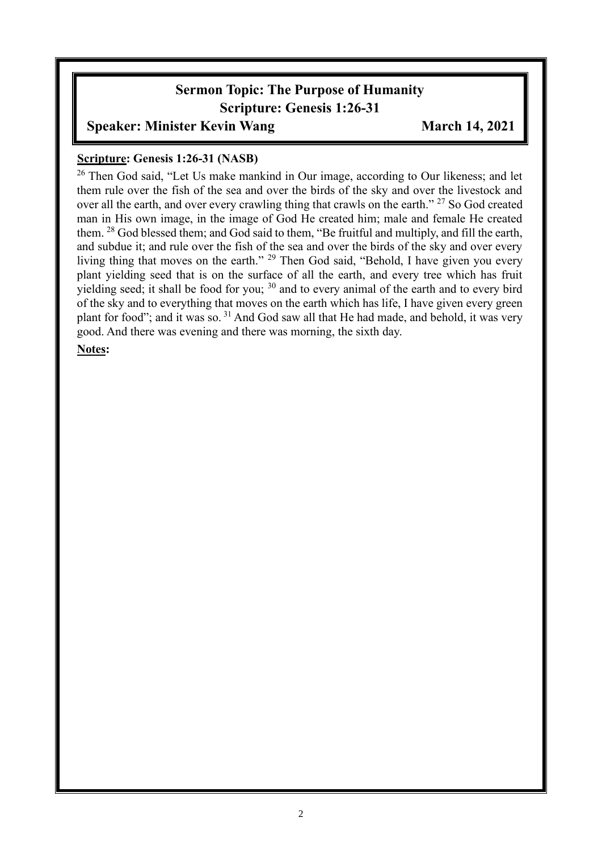# **Sermon Topic: The Purpose of Humanity Scripture: Genesis 1:26-31**

## **Speaker: Minister Kevin Wang** *March 14, 2021*

### **Scripture: Genesis 1:26-31 (NASB)**

<sup>26</sup> Then God said, "Let Us make mankind in Our image, according to Our likeness; and let them rule over the fish of the sea and over the birds of the sky and over the livestock and over all the earth, and over every crawling thing that crawls on the earth." <sup>27</sup> So God created man in His own image, in the image of God He created him; male and female He created them. <sup>28</sup> God blessed them; and God said to them, "Be fruitful and multiply, and fill the earth, and subdue it; and rule over the fish of the sea and over the birds of the sky and over every living thing that moves on the earth." <sup>29</sup> Then God said, "Behold, I have given you every plant yielding seed that is on the surface of all the earth, and every tree which has fruit yielding seed; it shall be food for you; <sup>30</sup> and to every animal of the earth and to every bird of the sky and to everything that moves on the earth which has life, I have given every green plant for food"; and it was so.  $31$  And God saw all that He had made, and behold, it was very good. And there was evening and there was morning, the sixth day.

#### **Notes:**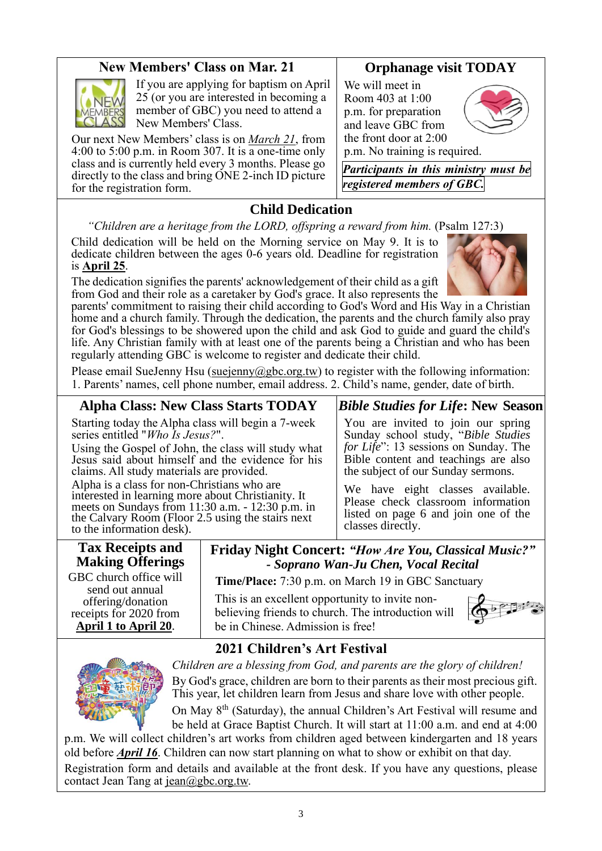# **New Members' Class on Mar. 21**



If you are applying for baptism on April 25 (or you are interested in becoming a member of GBC) you need to attend a New Members' Class.

Our next New Members' class is on *March 21*, from 4:00 to 5:00 p.m. in Room 307. It is a one-time only class and is currently held every 3 months. Please go directly to the class and bring ONE 2-inch ID picture for the registration form.

# **Orphanage visit TODAY**

We will meet in Room 403 at 1:00 p.m. for preparation and leave GBC from the front door at 2:00 p.m. No training is required.



*Participants in this ministry must be registered members of GBC.*

**Child Dedication**

*"Children are a heritage from the LORD, offspring a reward from him.* (Psalm 127:3)

Child dedication will be held on the Morning service on May 9. It is to dedicate children between the ages 0-6 years old. Deadline for registration is **April 25**.

The dedication signifies the parents' acknowledgement of their child as a gift from God and their role as a caretaker by God's grace. It also represents the



parents' commitment to raising their child according to God's Word and His Way in a Christian home and a church family. Through the dedication, the parents and the church family also pray for God's blessings to be showered upon the child and ask God to guide and guard the child's life. Any Christian family with at least one of the parents being a Christian and who has been regularly attending GBC is welcome to register and dedicate their child.

Please email SueJenny Hsu [\(suejenny@gbc.org.tw\)](mailto:suejenny@gbc.org.tw) to register with the following information: 1. Parents' names, cell phone number, email address. 2. Child's name, gender, date of birth.

**Alpha Class: New Class Starts TODAY**

Starting today the Alpha class will begin a 7-week series entitled "*Who Is Jesus?*".

Using the Gospel of John, the class will study what Jesus said about himself and the evidence for his claims. All study materials are provided.

Alpha is a class for non-Christians who are interested in learning more about Christianity. It meets on Sundays from 11:30 a.m. - 12:30 p.m. in the Calvary Room (Floor 2.5 using the stairs next to the information desk).

# *Bible Studies for Life***: New Season**

You are invited to join our spring Sunday school study, "*Bible Studies for Life*": 13 sessions on Sunday. The Bible content and teachings are also the subject of our Sunday sermons.

We have eight classes available. Please check classroom information listed on page 6 and join one of the classes directly.

# **Tax Receipts and Making Offerings**

GBC church office will send out annual offering/donation receipts for 2020 from **April 1 to April 20**.

**Friday Night Concert:** *"How Are You, Classical Music?" - Soprano Wan-Ju Chen, Vocal Recital*

**Time/Place:** 7:30 p.m. on March 19 in GBC Sanctuary

This is an excellent opportunity to invite nonbelieving friends to church. The introduction will be in Chinese. Admission is free!



# **2021 Children's Art Festival**



*Children are a blessing from God, and parents are the glory of children!* By God's grace, children are born to their parents as their most precious gift. This year, let children learn from Jesus and share love with other people.

On May 8<sup>th</sup> (Saturday), the annual Children's Art Festival will resume and be held at Grace Baptist Church. It will start at 11:00 a.m. and end at 4:00

p.m. We will collect children's art works from children aged between kindergarten and 18 years old before *April 16*. Children can now start planning on what to show or exhibit on that day. Registration form and details and available at the front desk. If you have any questions, please contact Jean Tang at [jean@gbc.org.tw.](mailto:jean@gbc.org.tw)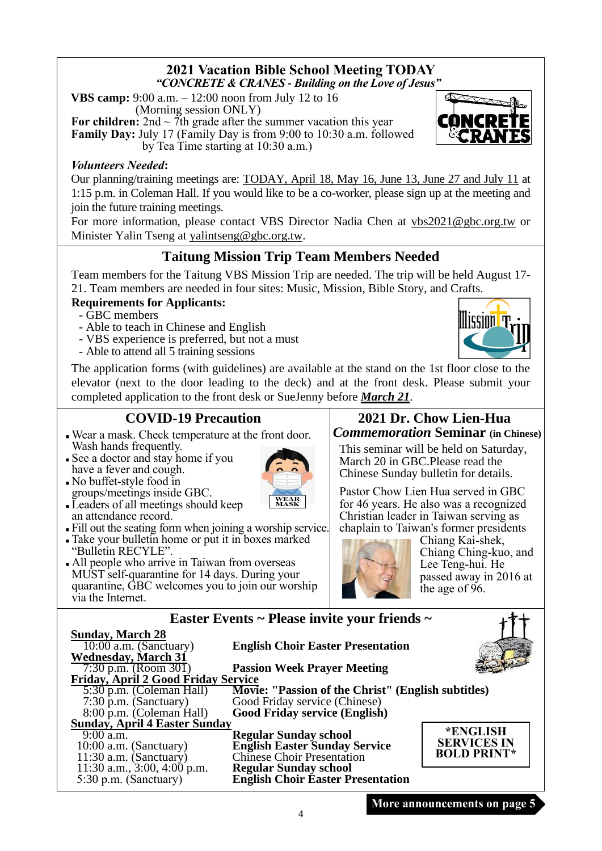### **2021 Vacation Bible School Meeting TODAY** *"CONCRETE & CRANES - Building on the Love of Jesus"*

**VBS camp:** 9:00 a.m. – 12:00 noon from July 12 to 16 (Morning session ONLY)

**For children:**  $2nd \sim 7$ th grade after the summer vacation this year **Family Day:** July 17 (Family Day is from 9:00 to 10:30 a.m. followed by Tea Time starting at 10:30 a.m.)

### *Volunteers Needed***:**

Our planning/training meetings are: TODAY, April 18, May 16, June 13, June 27 and July 11 at 1:15 p.m. in Coleman Hall. If you would like to be a co-worker, please sign up at the meeting and join the future training meetings.

For more information, please contact VBS Director Nadia Chen at [vbs2021@gbc.org.tw](mailto:vbs2021@gbc.org.tw) or Minister Yalin Tseng at yalintseng@gbc.org.tw.

# **Taitung Mission Trip Team Members Needed**

Team members for the Taitung VBS Mission Trip are needed. The trip will be held August 17- 21. Team members are needed in four sites: Music, Mission, Bible Story, and Crafts.

## **Requirements for Applicants:**

- GBC members

- Able to teach in Chinese and English
- VBS experience is preferred, but not a must
- Able to attend all 5 training sessions

The application forms (with guidelines) are available at the stand on the 1st floor close to the elevator (next to the door leading to the deck) and at the front desk. Please submit your completed application to the front desk or SueJenny before *March 21*.

# **COVID-19 Precaution**

- <sup>◼</sup> Wear a mask. Check temperature at the front door. Wash hands frequently.
- See a doctor and stay home if you have a fever and cough.
- No buffet-style food in groups/meetings inside GBC.
- Leaders of all meetings should keep an attendance record.
- <sup>◼</sup> Fill out the seating form when joining a worship service.
- <sup>◼</sup> Take your bulletin home or put it in boxes marked "Bulletin RECYLE".
- All people who arrive in Taiwan from overseas MUST self-quarantine for 14 days. During your quarantine, GBC welcomes you to join our worship via the Internet.

## **2021 Dr. Chow Lien-Hua** *Commemoration* **Seminar (in Chinese)**

This seminar will be held on Saturday, March 20 in GBC.Please read the Chinese Sunday bulletin for details.

Pastor Chow Lien Hua served in GBC for 46 years. He also was a recognized Christian leader in Taiwan serving as chaplain to Taiwan's former presidents



|                                     | Easter Events ~ Please invite your friends ~       |                    |
|-------------------------------------|----------------------------------------------------|--------------------|
| Sund <u>ay, March 28</u>            |                                                    |                    |
| $10:00$ a.m. (Sanctuary)            | <b>English Choir Easter Presentation</b>           |                    |
| <b>Wednesday, March 31</b>          |                                                    |                    |
| 7:30 p.m. (Room 301)                | <b>Passion Week Prayer Meeting</b>                 |                    |
| Friday, April 2 Good Friday Service |                                                    |                    |
| 5:30 p.m. (Coleman Hall)            | Movie: "Passion of the Christ" (English subtitles) |                    |
| $7:30$ p.m. (Sanctuary)             | Good Friday service (Chinese)                      |                    |
| 8:00 p.m. (Coleman Hall)            | Good Friday service (English)                      |                    |
| Sunday, April 4 Easter Sunday       |                                                    |                    |
| $9:00$ a.m.                         | <b>Regular Sunday school</b>                       | *ENGLISH           |
| 10:00 a.m. (Sanctuary)              | <b>English Easter Sunday Service</b>               | <b>SERVICES IN</b> |
| $11:30$ a.m. (Sanctuary)            | <b>Chinese Choir Presentation</b>                  | <b>BOLD PRINT*</b> |
| 11:30 a.m., $3:00, 4:00$ p.m.       | <b>Regular Sunday school</b>                       |                    |
| 5:30 p.m. (Sanctuary)               | <b>English Choir Easter Presentation</b>           |                    |





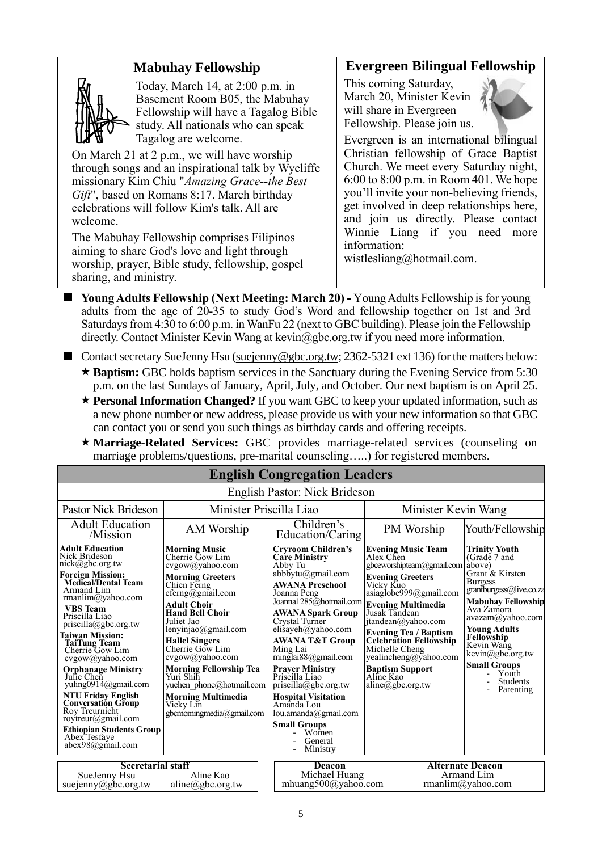## **Mabuhay Fellowship**



Today, March 14, at 2:00 p.m. in Basement Room B05, the Mabuhay Fellowship will have a Tagalog Bible study. All nationals who can speak Tagalog are welcome.

On March 21 at 2 p.m., we will have worship through songs and an inspirational talk by Wycliffe missionary Kim Chiu "*Amazing Grace--the Best Gift*", based on Romans 8:17. March birthday celebrations will follow Kim's talk. All are welcome.

The Mabuhay Fellowship comprises Filipinos aiming to share God's love and light through worship, prayer, Bible study, fellowship, gospel sharing, and ministry.

### **Evergreen Bilingual Fellowship**

This coming Saturday, March 20, Minister Kevin will share in Evergreen Fellowship. Please join us.



Evergreen is an international bilingual Christian fellowship of Grace Baptist Church. We meet every Saturday night, 6:00 to 8:00 p.m. in Room 401. We hope you'll invite your non-believing friends, get involved in deep relationships here, and join us directly. Please contact Winnie Liang if you need more information:

[wistlesliang@hotmail.com.](mailto:wistlesliang@hotmail.com)

- Young Adults Fellowship **(Next Meeting: March 20)** Young Adults Fellowship is for young adults from the age of 20-35 to study God's Word and fellowship together on 1st and 3rd Saturdays from 4:30 to 6:00 p.m. in WanFu 22 (next to GBC building). Please join the Fellowship directly. Contact Minister Kevin Wang at kevin @gbc.org.tw if you need more information.
- Contact secretary SueJenny Hsu [\(suejenny@gbc.org.tw;](mailto:suejenny@gbc.org.tw) 2362-5321 ext 136) for the matters below:
	- **Baptism:** GBC holds baptism services in the Sanctuary during the Evening Service from 5:30 p.m. on the last Sundays of January, April, July, and October. Our next baptism is on April 25.
	- **Personal Information Changed?** If you want GBC to keep your updated information, such as a new phone number or new address, please provide us with your new information so that GBC can contact you or send you such things as birthday cards and offering receipts.
	- **Marriage-Related Services:** GBC provides marriage-related services (counseling on marriage problems/questions, pre-marital counseling…..) for registered members.

|                                                                                                                                                                                                                                                                                                                                                                                                                                                                                                                                                    |                                                                                                                                                                                                                                                                                                                                                                                                                        | <b>English Congregation Leaders</b>                                                                                                                                                                                                                                                                                                                                                                                                                                                                   |                                                                                                                                                                                                                                                                                                                                                                                                |                                                                                                                                                                                                                                                                                                     |
|----------------------------------------------------------------------------------------------------------------------------------------------------------------------------------------------------------------------------------------------------------------------------------------------------------------------------------------------------------------------------------------------------------------------------------------------------------------------------------------------------------------------------------------------------|------------------------------------------------------------------------------------------------------------------------------------------------------------------------------------------------------------------------------------------------------------------------------------------------------------------------------------------------------------------------------------------------------------------------|-------------------------------------------------------------------------------------------------------------------------------------------------------------------------------------------------------------------------------------------------------------------------------------------------------------------------------------------------------------------------------------------------------------------------------------------------------------------------------------------------------|------------------------------------------------------------------------------------------------------------------------------------------------------------------------------------------------------------------------------------------------------------------------------------------------------------------------------------------------------------------------------------------------|-----------------------------------------------------------------------------------------------------------------------------------------------------------------------------------------------------------------------------------------------------------------------------------------------------|
|                                                                                                                                                                                                                                                                                                                                                                                                                                                                                                                                                    |                                                                                                                                                                                                                                                                                                                                                                                                                        | English Pastor: Nick Brideson                                                                                                                                                                                                                                                                                                                                                                                                                                                                         |                                                                                                                                                                                                                                                                                                                                                                                                |                                                                                                                                                                                                                                                                                                     |
| Pastor Nick Brideson<br>Minister Priscilla Liao                                                                                                                                                                                                                                                                                                                                                                                                                                                                                                    |                                                                                                                                                                                                                                                                                                                                                                                                                        | Minister Kevin Wang                                                                                                                                                                                                                                                                                                                                                                                                                                                                                   |                                                                                                                                                                                                                                                                                                                                                                                                |                                                                                                                                                                                                                                                                                                     |
| <b>Adult Education</b><br>/Mission                                                                                                                                                                                                                                                                                                                                                                                                                                                                                                                 | AM Worship                                                                                                                                                                                                                                                                                                                                                                                                             | Children's<br>Education/Caring                                                                                                                                                                                                                                                                                                                                                                                                                                                                        | PM Worship                                                                                                                                                                                                                                                                                                                                                                                     | Youth/Fellowship                                                                                                                                                                                                                                                                                    |
| <b>Adult Education</b><br>Nick Brideson<br>nick@gbc.org.tw<br><b>Foreign Mission:</b><br>Medical/Dental Team<br>Armand Lim<br>rmanlim@yahoo.com<br><b>VBS</b> Team<br>Priscilla Liao<br>priscilla@gbc.org.tw<br><b>Taiwan Mission:</b><br><b>TaiTung Team</b><br>Cherrie Gow Lim<br>cvgow@yahoo.com<br><b>Orphanage Ministry</b><br>Julie Chen<br>yuling0914@gmail.com<br><b>NTU Friday English</b><br><b>Conversation Group</b><br>Roy Treurnicht<br>rovtreur@gmail.com<br><b>Ethiopian Students Group</b><br>Abex Tesfaye<br>$abex98$ @gmail.com | <b>Morning Music</b><br>Cherrie Gow Lim<br>cvgow@yahoo.com<br><b>Morning Greeters</b><br>Chien Ferng<br>cferng@gmail.com<br>Adult Choir<br><b>Hand Bell Choir</b><br>Juliet Jao<br>lenyinjao@gmail.com<br><b>Hallel Singers</b><br>Cherrie Gow Lim<br>cvgow@yahoo.com<br><b>Morning Fellowship Tea</b><br>Yuri Shih<br>yuchen phone@hotmail.com<br><b>Morning Multimedia</b><br>Vicky Lin<br>gbcmorningmedia@gmail.com | <b>Cryroom Children's</b><br><b>Care Ministry</b><br>Abby Tu<br>$abbb$ ytu $(a)$ gmail.com<br><b>AWANA Preschool</b><br>Joanna Peng<br>Joanna1285@hotmail.com<br><b>AWANA Spark Group</b><br>Crystal Turner<br>elisayeh@yahoo.com<br><b>AWANA T&amp;T Group</b><br>Ming Lai<br>minglai $88$ @gmail.com<br><b>Prayer Ministry</b><br>Priscilla Liao<br>priscilla@gbc.org.tw<br><b>Hospital Visitation</b><br>Amanda Lou<br>lou.amanda@gmail.com<br><b>Small Groups</b><br>Women<br>General<br>Ministry | <b>Evening Music Team</b><br>Alex Chen<br>gbceworshipteam@gmail.com above)<br><b>Evening Greeters</b><br>Vicky Kuo<br>asiag lobe999@gmail.com<br><b>Evening Multimedia</b><br>Jusak Tandean<br>itandean@yahoo.com<br><b>Evening Tea / Baptism<br/>Celebration Fellowship</b><br>Michelle Cheng<br>yealincheng@yahoo.com<br><b>Baptism Support</b><br>Aline Kao<br>$aline(\partial gbc.org.tw)$ | Trinity Youth<br>(Grade 7 and<br>Grant & Kirsten<br><b>Burgess</b><br>grantburgess@live.co.za<br><b>Mabuhay Fellowship</b><br>Ava Zamora<br>avazam@yahoo.com<br><b>Young Adults</b><br>Fellowship<br>Kevin Wang<br>kevin@gbc.org.tw<br><b>Small Groups</b><br>Youth<br><b>Students</b><br>Parenting |
| <b>Secretarial staff</b><br>SueJenny Hsu<br>suejenny@gbc.org.tw                                                                                                                                                                                                                                                                                                                                                                                                                                                                                    | Aline Kao<br>aline@abc.org.tw                                                                                                                                                                                                                                                                                                                                                                                          | Deacon<br>Michael Huang<br>mhuang500@yahoo.com                                                                                                                                                                                                                                                                                                                                                                                                                                                        |                                                                                                                                                                                                                                                                                                                                                                                                | <b>Alternate Deacon</b><br>Armand Lim<br>rmanlim@vahoo.com                                                                                                                                                                                                                                          |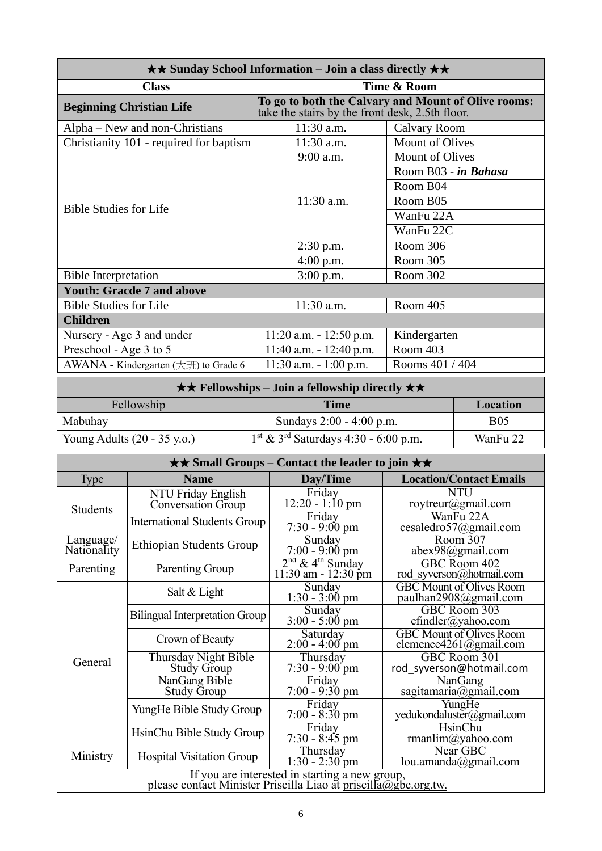| $\star\star$ Sunday School Information – Join a class directly $\star\star$ |                                                 |                                                     |  |
|-----------------------------------------------------------------------------|-------------------------------------------------|-----------------------------------------------------|--|
| <b>Class</b>                                                                | Time & Room                                     |                                                     |  |
| <b>Beginning Christian Life</b>                                             | take the stairs by the front desk, 2.5th floor. | To go to both the Calvary and Mount of Olive rooms: |  |
| Alpha – New and non-Christians                                              | 11:30 a.m.                                      | Calvary Room                                        |  |
| Christianity 101 - required for baptism                                     | 11:30 a.m.                                      | Mount of Olives                                     |  |
|                                                                             | 9:00 a.m.                                       | <b>Mount of Olives</b>                              |  |
|                                                                             |                                                 | Room B03 - in Bahasa                                |  |
|                                                                             |                                                 | Room B04                                            |  |
| <b>Bible Studies for Life</b>                                               | $11:30$ a.m.                                    | Room B05                                            |  |
|                                                                             |                                                 | WanFu 22A                                           |  |
|                                                                             |                                                 | WanFu 22C                                           |  |
|                                                                             | $2:30$ p.m.                                     | Room 306                                            |  |
|                                                                             | $4:00$ p.m.                                     | Room 305                                            |  |
| <b>Bible Interpretation</b>                                                 | $3:00$ p.m.                                     | Room 302                                            |  |
| <b>Youth: Gracde 7 and above</b>                                            |                                                 |                                                     |  |
| <b>Bible Studies for Life</b>                                               | $11:30$ a.m.                                    | Room 405                                            |  |
| <b>Children</b>                                                             |                                                 |                                                     |  |
| Nursery - Age 3 and under                                                   | $11:20$ a.m. $-12:50$ p.m.                      | Kindergarten                                        |  |
| Preschool - Age 3 to 5                                                      | $11:40$ a.m. $-12:40$ p.m.                      | Room 403                                            |  |
| AWANA - Kindergarten $(\pm \text{H})$ to Grade 6                            | $11:30$ a.m. $-1:00$ p.m.                       | Rooms 401 / 404                                     |  |

|                                       | $\star \star$ Fellowships – Join a fellowship directly $\star \star$ |            |
|---------------------------------------|----------------------------------------------------------------------|------------|
| Fellowship                            | Time                                                                 | Location   |
| Mabuhay                               | Sundays $2:00 - 4:00$ p.m.                                           | <b>B05</b> |
| Young Adults $(20 - 35 \text{ y.o.})$ | $1st$ & 3 <sup>rd</sup> Saturdays 4:30 - 6:00 p.m.                   | WanFu 22   |

|                          |                                                                                                                   | $\star\star$ Small Groups – Contact the leader to join $\star\star$ |                                                           |
|--------------------------|-------------------------------------------------------------------------------------------------------------------|---------------------------------------------------------------------|-----------------------------------------------------------|
| <b>Type</b>              | <b>Name</b>                                                                                                       | Day/Time                                                            | <b>Location/Contact Emails</b>                            |
| <b>Students</b>          | NTU Friday English<br>Conversation Group                                                                          | Friday<br>$12:20 - 1:10$ pm                                         | <b>NTU</b><br>roytreur@gmail.com                          |
|                          | <b>International Students Group</b>                                                                               | Friday<br>$7:30 - 9:00 \text{ pm}$                                  | WanFu 22A<br>cesaledro57@gmail.com                        |
| Language/<br>Nationality | <b>Ethiopian Students Group</b>                                                                                   | Sunday<br>$7:00 - 9:00$ pm                                          | Room 307<br>$abex98$ @gmail.com                           |
| Parenting                | Parenting Group                                                                                                   | $2nd$ & 4 <sup>th</sup> Sunday<br>11:30 am - 12:30 pm               | GBC Room 402<br>rod syverson@hotmail.com                  |
|                          | Salt $&$ Light                                                                                                    | Sunday<br>$1:30 - 3:00$ pm                                          | <b>GBC</b> Mount of Olives Room<br>paulhan2908@gmail.com  |
|                          | <b>Bilingual Interpretation Group</b>                                                                             | Sunday<br>$3:00 - 5:00$ pm                                          | GBC Room 303<br>cfindler@yahoo.com                        |
|                          | Crown of Beauty                                                                                                   | Saturday<br>$2:00 - 4:00$ pm                                        | <b>GBC</b> Mount of Olives Room<br>clemence4261@gmail.com |
| General                  | Thursday Night Bible<br><b>Study Group</b>                                                                        | Thursday<br>$7:30 - 9:00$ pm                                        | GBC Room 301<br>rod syverson@hotmail.com                  |
|                          | NanGang Bible<br><b>Study Group</b>                                                                               | Friday<br>$7:00 - 9:30$ pm                                          | NanGang<br>sagitamaria@gmail.com                          |
|                          | YungHe Bible Study Group                                                                                          | Friday<br>$7:00 - 8:30$ pm                                          | YungHe<br>yedukondaluster@gmail.com                       |
|                          | HsinChu Bible Study Group                                                                                         | Friday<br>$7:30 - 8:45$ pm                                          | HsinChu<br>rmanlim@yahoo.com                              |
| Ministry                 | <b>Hospital Visitation Group</b>                                                                                  | Thursday<br>$1:30 - 2:30$ pm                                        | Near GBC<br>lou.amanda@gmail.com                          |
|                          | If you are interested in starting a new group,<br>please contact Minister Priscilla Liao at priscilla@gbc.org.tw. |                                                                     |                                                           |